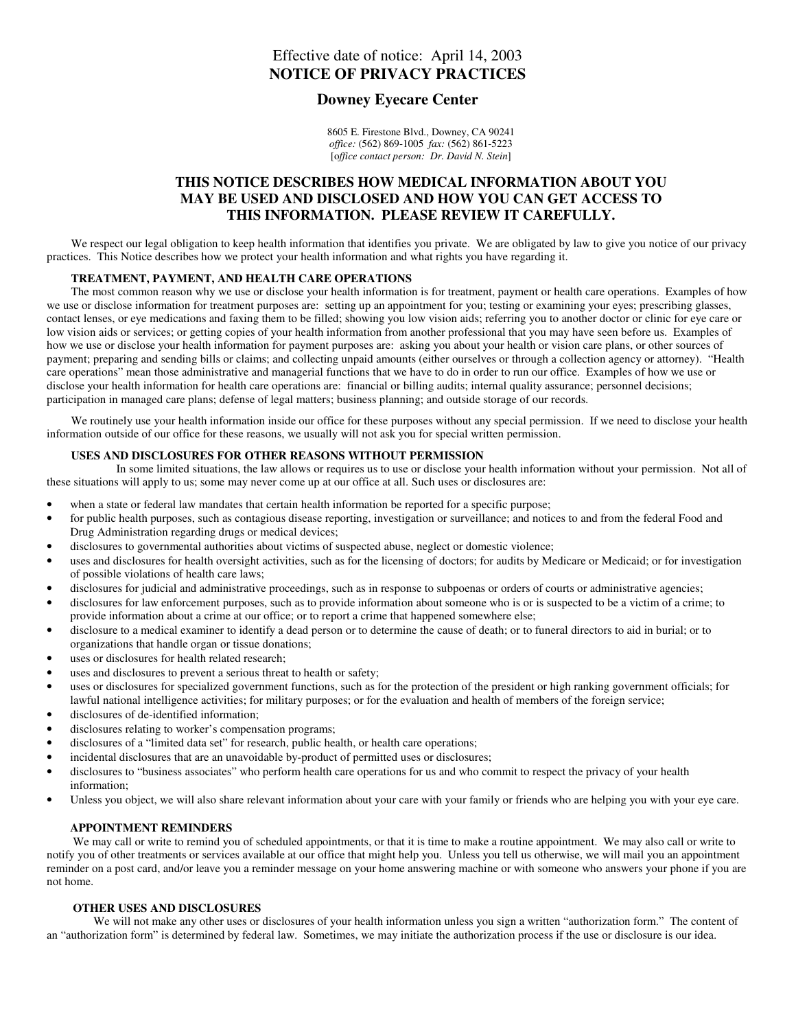# Effective date of notice: April 14, 2003 **NOTICE OF PRIVACY PRACTICES**

## **Downey Eyecare Center**

8605 E. Firestone Blvd., Downey, CA 90241 *office:* (562) 869-1005 *fax:* (562) 861-5223 [o*ffice contact person: Dr. David N. Stein*]

## **THIS NOTICE DESCRIBES HOW MEDICAL INFORMATION ABOUT YOU MAY BE USED AND DISCLOSED AND HOW YOU CAN GET ACCESS TO THIS INFORMATION. PLEASE REVIEW IT CAREFULLY.**

We respect our legal obligation to keep health information that identifies you private. We are obligated by law to give you notice of our privacy practices. This Notice describes how we protect your health information and what rights you have regarding it.

## **TREATMENT, PAYMENT, AND HEALTH CARE OPERATIONS**

The most common reason why we use or disclose your health information is for treatment, payment or health care operations. Examples of how we use or disclose information for treatment purposes are: setting up an appointment for you; testing or examining your eyes; prescribing glasses, contact lenses, or eye medications and faxing them to be filled; showing you low vision aids; referring you to another doctor or clinic for eye care or low vision aids or services; or getting copies of your health information from another professional that you may have seen before us. Examples of how we use or disclose your health information for payment purposes are: asking you about your health or vision care plans, or other sources of payment; preparing and sending bills or claims; and collecting unpaid amounts (either ourselves or through a collection agency or attorney). "Health care operations" mean those administrative and managerial functions that we have to do in order to run our office. Examples of how we use or disclose your health information for health care operations are: financial or billing audits; internal quality assurance; personnel decisions; participation in managed care plans; defense of legal matters; business planning; and outside storage of our records.

We routinely use your health information inside our office for these purposes without any special permission. If we need to disclose your health information outside of our office for these reasons, we usually will not ask you for special written permission.

## **USES AND DISCLOSURES FOR OTHER REASONS WITHOUT PERMISSION**

In some limited situations, the law allows or requires us to use or disclose your health information without your permission. Not all of these situations will apply to us; some may never come up at our office at all. Such uses or disclosures are:

- when a state or federal law mandates that certain health information be reported for a specific purpose;
- for public health purposes, such as contagious disease reporting, investigation or surveillance; and notices to and from the federal Food and Drug Administration regarding drugs or medical devices;
- disclosures to governmental authorities about victims of suspected abuse, neglect or domestic violence;
- uses and disclosures for health oversight activities, such as for the licensing of doctors; for audits by Medicare or Medicaid; or for investigation of possible violations of health care laws;
- disclosures for judicial and administrative proceedings, such as in response to subpoenas or orders of courts or administrative agencies;
- disclosures for law enforcement purposes, such as to provide information about someone who is or is suspected to be a victim of a crime; to provide information about a crime at our office; or to report a crime that happened somewhere else;
- disclosure to a medical examiner to identify a dead person or to determine the cause of death; or to funeral directors to aid in burial; or to organizations that handle organ or tissue donations;
- uses or disclosures for health related research;
- uses and disclosures to prevent a serious threat to health or safety;
- uses or disclosures for specialized government functions, such as for the protection of the president or high ranking government officials; for lawful national intelligence activities; for military purposes; or for the evaluation and health of members of the foreign service;
- disclosures of de-identified information;
- disclosures relating to worker's compensation programs;
- disclosures of a "limited data set" for research, public health, or health care operations;
- incidental disclosures that are an unavoidable by-product of permitted uses or disclosures;
- disclosures to "business associates" who perform health care operations for us and who commit to respect the privacy of your health information;
- Unless you object, we will also share relevant information about your care with your family or friends who are helping you with your eye care.

## **APPOINTMENT REMINDERS**

We may call or write to remind you of scheduled appointments, or that it is time to make a routine appointment. We may also call or write to notify you of other treatments or services available at our office that might help you. Unless you tell us otherwise, we will mail you an appointment reminder on a post card, and/or leave you a reminder message on your home answering machine or with someone who answers your phone if you are not home.

#### **OTHER USES AND DISCLOSURES**

We will not make any other uses or disclosures of your health information unless you sign a written "authorization form." The content of an "authorization form" is determined by federal law. Sometimes, we may initiate the authorization process if the use or disclosure is our idea.